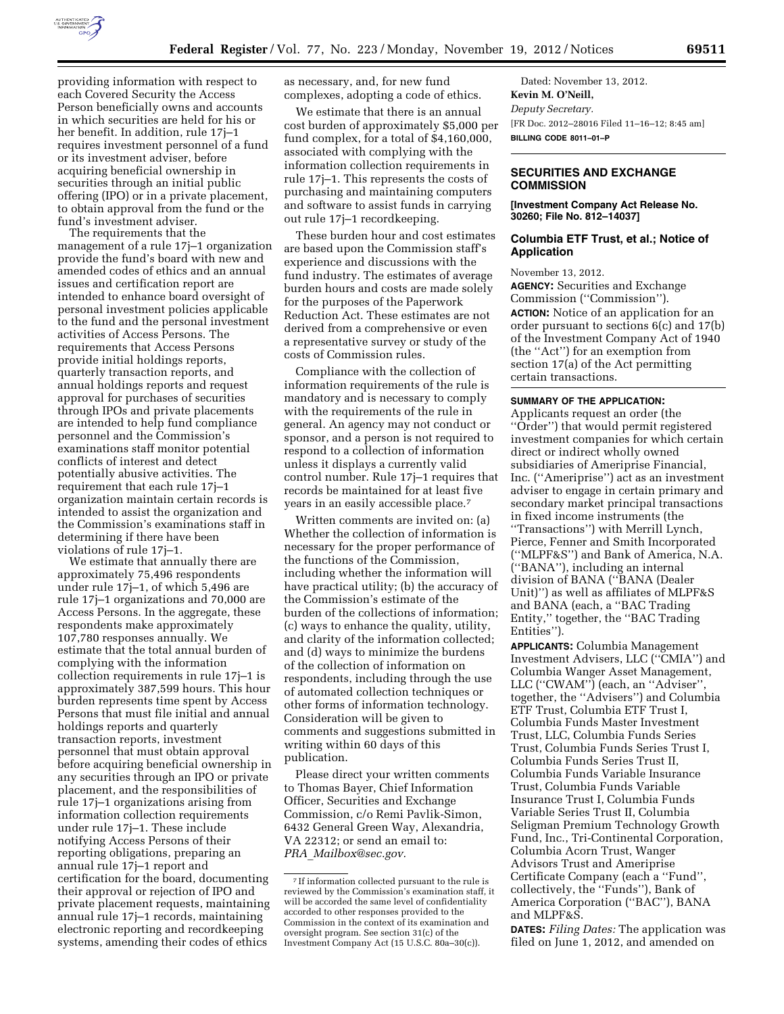

providing information with respect to each Covered Security the Access Person beneficially owns and accounts in which securities are held for his or her benefit. In addition, rule 17j–1 requires investment personnel of a fund or its investment adviser, before acquiring beneficial ownership in securities through an initial public offering (IPO) or in a private placement, to obtain approval from the fund or the fund's investment adviser.

The requirements that the management of a rule 17j–1 organization provide the fund's board with new and amended codes of ethics and an annual issues and certification report are intended to enhance board oversight of personal investment policies applicable to the fund and the personal investment activities of Access Persons. The requirements that Access Persons provide initial holdings reports, quarterly transaction reports, and annual holdings reports and request approval for purchases of securities through IPOs and private placements are intended to help fund compliance personnel and the Commission's examinations staff monitor potential conflicts of interest and detect potentially abusive activities. The requirement that each rule 17j–1 organization maintain certain records is intended to assist the organization and the Commission's examinations staff in determining if there have been violations of rule 17j–1.

We estimate that annually there are approximately 75,496 respondents under rule 17j–1, of which 5,496 are rule 17j–1 organizations and 70,000 are Access Persons. In the aggregate, these respondents make approximately 107,780 responses annually. We estimate that the total annual burden of complying with the information collection requirements in rule 17j–1 is approximately 387,599 hours. This hour burden represents time spent by Access Persons that must file initial and annual holdings reports and quarterly transaction reports, investment personnel that must obtain approval before acquiring beneficial ownership in any securities through an IPO or private placement, and the responsibilities of rule 17j–1 organizations arising from information collection requirements under rule 17j–1. These include notifying Access Persons of their reporting obligations, preparing an annual rule 17j–1 report and certification for the board, documenting their approval or rejection of IPO and private placement requests, maintaining annual rule 17j–1 records, maintaining electronic reporting and recordkeeping systems, amending their codes of ethics

as necessary, and, for new fund complexes, adopting a code of ethics.

We estimate that there is an annual cost burden of approximately \$5,000 per fund complex, for a total of \$4,160,000, associated with complying with the information collection requirements in rule 17j–1. This represents the costs of purchasing and maintaining computers and software to assist funds in carrying out rule 17j–1 recordkeeping.

These burden hour and cost estimates are based upon the Commission staff's experience and discussions with the fund industry. The estimates of average burden hours and costs are made solely for the purposes of the Paperwork Reduction Act. These estimates are not derived from a comprehensive or even a representative survey or study of the costs of Commission rules.

Compliance with the collection of information requirements of the rule is mandatory and is necessary to comply with the requirements of the rule in general. An agency may not conduct or sponsor, and a person is not required to respond to a collection of information unless it displays a currently valid control number. Rule 17j–1 requires that records be maintained for at least five years in an easily accessible place.7

Written comments are invited on: (a) Whether the collection of information is necessary for the proper performance of the functions of the Commission, including whether the information will have practical utility; (b) the accuracy of the Commission's estimate of the burden of the collections of information; (c) ways to enhance the quality, utility, and clarity of the information collected; and (d) ways to minimize the burdens of the collection of information on respondents, including through the use of automated collection techniques or other forms of information technology. Consideration will be given to comments and suggestions submitted in writing within 60 days of this publication.

Please direct your written comments to Thomas Bayer, Chief Information Officer, Securities and Exchange Commission, c/o Remi Pavlik-Simon, 6432 General Green Way, Alexandria, VA 22312; or send an email to: *PRA*\_*[Mailbox@sec.gov.](mailto:PRA_Mailbox@sec.gov)* 

Dated: November 13, 2012. **Kevin M. O'Neill,**  *Deputy Secretary.*  [FR Doc. 2012–28016 Filed 11–16–12; 8:45 am] **BILLING CODE 8011–01–P** 

# **SECURITIES AND EXCHANGE COMMISSION**

**[Investment Company Act Release No. 30260; File No. 812–14037]** 

## **Columbia ETF Trust, et al.; Notice of Application**

November 13, 2012.

**AGENCY:** Securities and Exchange Commission (''Commission''). **ACTION:** Notice of an application for an order pursuant to sections 6(c) and 17(b) of the Investment Company Act of 1940 (the ''Act'') for an exemption from section 17(a) of the Act permitting certain transactions.

### **SUMMARY OF THE APPLICATION:**

Applicants request an order (the ''Order'') that would permit registered investment companies for which certain direct or indirect wholly owned subsidiaries of Ameriprise Financial, Inc. (''Ameriprise'') act as an investment adviser to engage in certain primary and secondary market principal transactions in fixed income instruments (the ''Transactions'') with Merrill Lynch, Pierce, Fenner and Smith Incorporated

(''MLPF&S'') and Bank of America, N.A. (''BANA''), including an internal division of BANA (''BANA (Dealer Unit)'') as well as affiliates of MLPF&S and BANA (each, a ''BAC Trading Entity,'' together, the ''BAC Trading Entities'').

**APPLICANTS:** Columbia Management Investment Advisers, LLC (''CMIA'') and Columbia Wanger Asset Management, LLC (''CWAM'') (each, an ''Adviser'', together, the ''Advisers'') and Columbia ETF Trust, Columbia ETF Trust I, Columbia Funds Master Investment Trust, LLC, Columbia Funds Series Trust, Columbia Funds Series Trust I, Columbia Funds Series Trust II, Columbia Funds Variable Insurance Trust, Columbia Funds Variable Insurance Trust I, Columbia Funds Variable Series Trust II, Columbia Seligman Premium Technology Growth Fund, Inc., Tri-Continental Corporation, Columbia Acorn Trust, Wanger Advisors Trust and Ameriprise Certificate Company (each a ''Fund'', collectively, the ''Funds''), Bank of America Corporation (''BAC''), BANA and MLPF&S.

**DATES:** *Filing Dates:* The application was filed on June 1, 2012, and amended on

<sup>7</sup> If information collected pursuant to the rule is reviewed by the Commission's examination staff, it will be accorded the same level of confidentiality accorded to other responses provided to the Commission in the context of its examination and oversight program. See section 31(c) of the Investment Company Act (15 U.S.C. 80a–30(c)).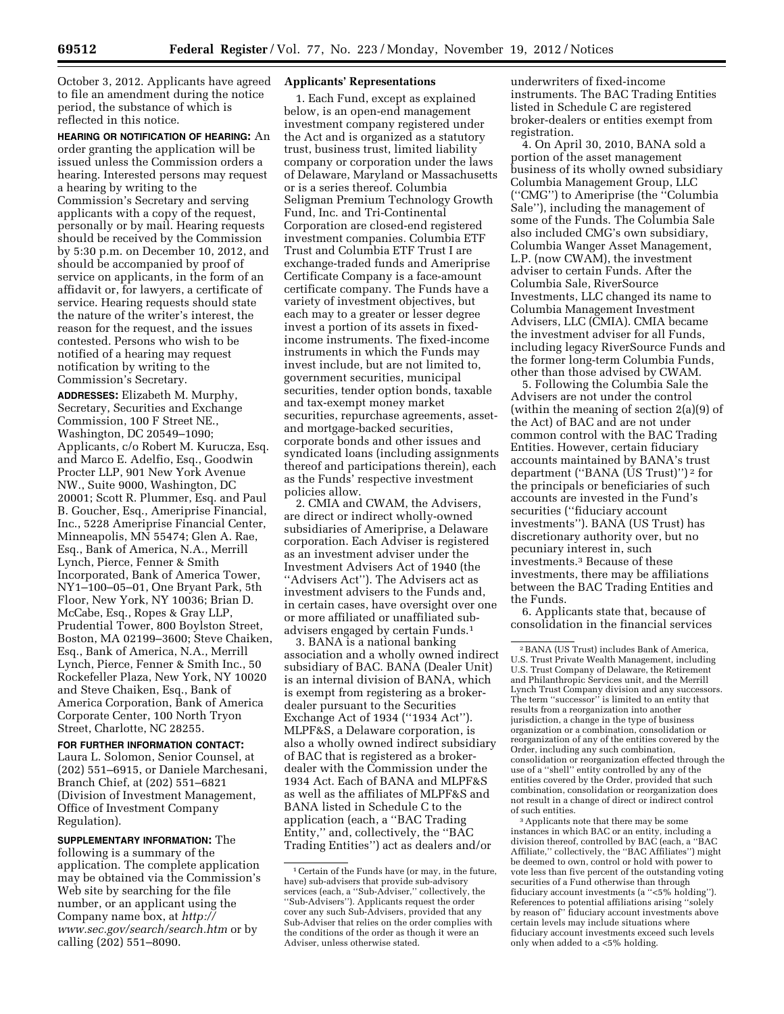October 3, 2012. Applicants have agreed to file an amendment during the notice period, the substance of which is reflected in this notice.

**HEARING OR NOTIFICATION OF HEARING:** An order granting the application will be issued unless the Commission orders a hearing. Interested persons may request a hearing by writing to the Commission's Secretary and serving applicants with a copy of the request, personally or by mail. Hearing requests should be received by the Commission by 5:30 p.m. on December 10, 2012, and should be accompanied by proof of service on applicants, in the form of an affidavit or, for lawyers, a certificate of service. Hearing requests should state the nature of the writer's interest, the reason for the request, and the issues contested. Persons who wish to be notified of a hearing may request notification by writing to the Commission's Secretary.

**ADDRESSES:** Elizabeth M. Murphy, Secretary, Securities and Exchange Commission, 100 F Street NE., Washington, DC 20549–1090; Applicants, c/o Robert M. Kurucza, Esq. and Marco E. Adelfio, Esq., Goodwin Procter LLP, 901 New York Avenue NW., Suite 9000, Washington, DC 20001; Scott R. Plummer, Esq. and Paul B. Goucher, Esq., Ameriprise Financial, Inc., 5228 Ameriprise Financial Center, Minneapolis, MN 55474; Glen A. Rae, Esq., Bank of America, N.A., Merrill Lynch, Pierce, Fenner & Smith Incorporated, Bank of America Tower, NY1–100–05–01, One Bryant Park, 5th Floor, New York, NY 10036; Brian D. McCabe, Esq., Ropes & Gray LLP, Prudential Tower, 800 Boylston Street, Boston, MA 02199–3600; Steve Chaiken, Esq., Bank of America, N.A., Merrill Lynch, Pierce, Fenner & Smith Inc., 50 Rockefeller Plaza, New York, NY 10020 and Steve Chaiken, Esq., Bank of America Corporation, Bank of America Corporate Center, 100 North Tryon Street, Charlotte, NC 28255.

**FOR FURTHER INFORMATION CONTACT:**  Laura L. Solomon, Senior Counsel, at (202) 551–6915, or Daniele Marchesani, Branch Chief, at (202) 551–6821 (Division of Investment Management, Office of Investment Company Regulation).

**SUPPLEMENTARY INFORMATION:** The following is a summary of the application. The complete application may be obtained via the Commission's Web site by searching for the file number, or an applicant using the Company name box, at *[http://](http://www.sec.gov/search/search.htm) [www.sec.gov/search/search.htm](http://www.sec.gov/search/search.htm)* or by calling (202) 551–8090.

## **Applicants' Representations**

1. Each Fund, except as explained below, is an open-end management investment company registered under the Act and is organized as a statutory trust, business trust, limited liability company or corporation under the laws of Delaware, Maryland or Massachusetts or is a series thereof. Columbia Seligman Premium Technology Growth Fund, Inc. and Tri-Continental Corporation are closed-end registered investment companies. Columbia ETF Trust and Columbia ETF Trust I are exchange-traded funds and Ameriprise Certificate Company is a face-amount certificate company. The Funds have a variety of investment objectives, but each may to a greater or lesser degree invest a portion of its assets in fixedincome instruments. The fixed-income instruments in which the Funds may invest include, but are not limited to, government securities, municipal securities, tender option bonds, taxable and tax-exempt money market securities, repurchase agreements, assetand mortgage-backed securities, corporate bonds and other issues and syndicated loans (including assignments thereof and participations therein), each as the Funds' respective investment policies allow.

2. CMIA and CWAM, the Advisers, are direct or indirect wholly-owned subsidiaries of Ameriprise, a Delaware corporation. Each Adviser is registered as an investment adviser under the Investment Advisers Act of 1940 (the ''Advisers Act''). The Advisers act as investment advisers to the Funds and, in certain cases, have oversight over one or more affiliated or unaffiliated subadvisers engaged by certain Funds.1

3. BANA is a national banking association and a wholly owned indirect subsidiary of BAC. BANA (Dealer Unit) is an internal division of BANA, which is exempt from registering as a brokerdealer pursuant to the Securities Exchange Act of 1934 ("1934 Act"). MLPF&S, a Delaware corporation, is also a wholly owned indirect subsidiary of BAC that is registered as a brokerdealer with the Commission under the 1934 Act. Each of BANA and MLPF&S as well as the affiliates of MLPF&S and BANA listed in Schedule C to the application (each, a ''BAC Trading Entity,'' and, collectively, the ''BAC Trading Entities'') act as dealers and/or

underwriters of fixed-income instruments. The BAC Trading Entities listed in Schedule C are registered broker-dealers or entities exempt from registration.

4. On April 30, 2010, BANA sold a portion of the asset management business of its wholly owned subsidiary Columbia Management Group, LLC (''CMG'') to Ameriprise (the ''Columbia Sale''), including the management of some of the Funds. The Columbia Sale also included CMG's own subsidiary, Columbia Wanger Asset Management, L.P. (now CWAM), the investment adviser to certain Funds. After the Columbia Sale, RiverSource Investments, LLC changed its name to Columbia Management Investment Advisers, LLC (CMIA). CMIA became the investment adviser for all Funds, including legacy RiverSource Funds and the former long-term Columbia Funds, other than those advised by CWAM.

5. Following the Columbia Sale the Advisers are not under the control (within the meaning of section 2(a)(9) of the Act) of BAC and are not under common control with the BAC Trading Entities. However, certain fiduciary accounts maintained by BANA's trust department (''BANA (US Trust)'') 2 for the principals or beneficiaries of such accounts are invested in the Fund's securities (''fiduciary account investments''). BANA (US Trust) has discretionary authority over, but no pecuniary interest in, such investments.3 Because of these investments, there may be affiliations between the BAC Trading Entities and the Funds.

6. Applicants state that, because of consolidation in the financial services

3Applicants note that there may be some instances in which BAC or an entity, including a division thereof, controlled by BAC (each, a ''BAC Affiliate,'' collectively, the ''BAC Affiliates'') might be deemed to own, control or hold with power to vote less than five percent of the outstanding voting securities of a Fund otherwise than through fiduciary account investments (a ''<5% holding''). References to potential affiliations arising ''solely by reason of'' fiduciary account investments above certain levels may include situations where fiduciary account investments exceed such levels only when added to a <5% holding.

<sup>1</sup>Certain of the Funds have (or may, in the future, have) sub-advisers that provide sub-advisory services (each, a "Sub-Adviser," collectively, the ''Sub-Advisers''). Applicants request the order cover any such Sub-Advisers, provided that any Sub-Adviser that relies on the order complies with the conditions of the order as though it were an Adviser, unless otherwise stated.

<sup>2</sup>BANA (US Trust) includes Bank of America, U.S. Trust Private Wealth Management, including U.S. Trust Company of Delaware, the Retirement and Philanthropic Services unit, and the Merrill Lynch Trust Company division and any successors. The term ''successor'' is limited to an entity that results from a reorganization into another jurisdiction, a change in the type of business organization or a combination, consolidation or reorganization of any of the entities covered by the Order, including any such combination, consolidation or reorganization effected through the use of a ''shell'' entity controlled by any of the entities covered by the Order, provided that such combination, consolidation or reorganization does not result in a change of direct or indirect control of such entities.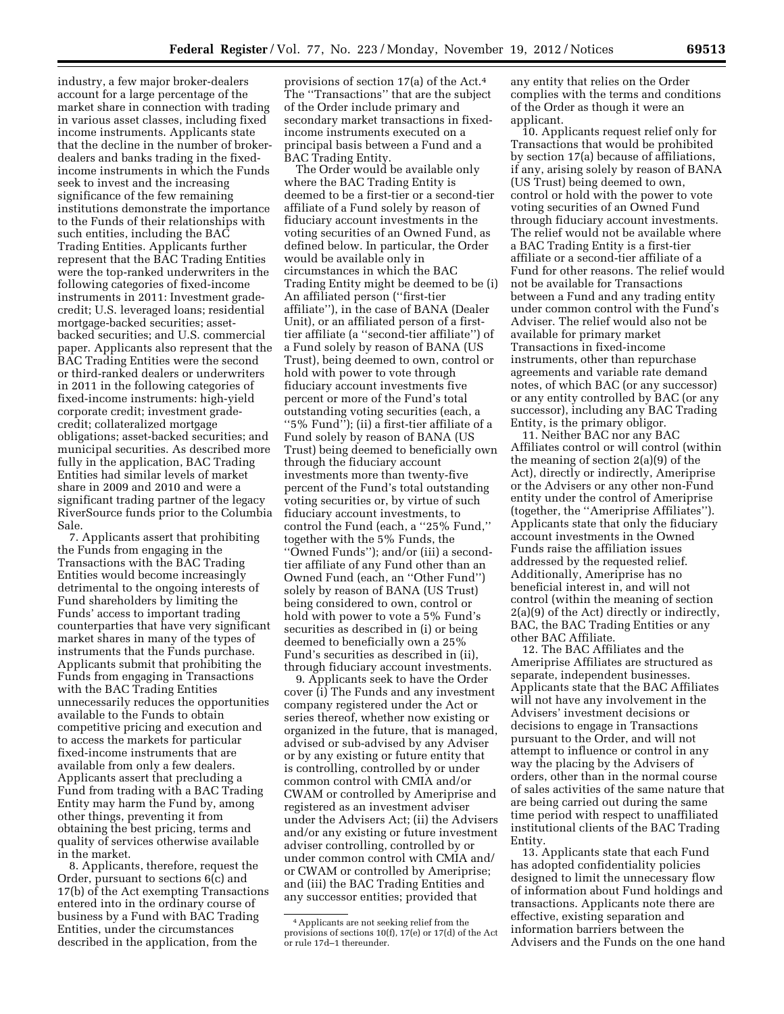industry, a few major broker-dealers account for a large percentage of the market share in connection with trading in various asset classes, including fixed income instruments. Applicants state that the decline in the number of brokerdealers and banks trading in the fixedincome instruments in which the Funds seek to invest and the increasing significance of the few remaining institutions demonstrate the importance to the Funds of their relationships with such entities, including the BAC Trading Entities. Applicants further represent that the BAC Trading Entities were the top-ranked underwriters in the following categories of fixed-income instruments in 2011: Investment gradecredit; U.S. leveraged loans; residential mortgage-backed securities; assetbacked securities; and U.S. commercial paper. Applicants also represent that the BAC Trading Entities were the second or third-ranked dealers or underwriters in 2011 in the following categories of fixed-income instruments: high-yield corporate credit; investment gradecredit; collateralized mortgage obligations; asset-backed securities; and municipal securities. As described more fully in the application, BAC Trading Entities had similar levels of market share in 2009 and 2010 and were a significant trading partner of the legacy RiverSource funds prior to the Columbia Sale.

7. Applicants assert that prohibiting the Funds from engaging in the Transactions with the BAC Trading Entities would become increasingly detrimental to the ongoing interests of Fund shareholders by limiting the Funds' access to important trading counterparties that have very significant market shares in many of the types of instruments that the Funds purchase. Applicants submit that prohibiting the Funds from engaging in Transactions with the BAC Trading Entities unnecessarily reduces the opportunities available to the Funds to obtain competitive pricing and execution and to access the markets for particular fixed-income instruments that are available from only a few dealers. Applicants assert that precluding a Fund from trading with a BAC Trading Entity may harm the Fund by, among other things, preventing it from obtaining the best pricing, terms and quality of services otherwise available in the market.

8. Applicants, therefore, request the Order, pursuant to sections 6(c) and 17(b) of the Act exempting Transactions entered into in the ordinary course of business by a Fund with BAC Trading Entities, under the circumstances described in the application, from the

provisions of section 17(a) of the Act.4 The ''Transactions'' that are the subject of the Order include primary and secondary market transactions in fixedincome instruments executed on a principal basis between a Fund and a BAC Trading Entity.

The Order would be available only where the BAC Trading Entity is deemed to be a first-tier or a second-tier affiliate of a Fund solely by reason of fiduciary account investments in the voting securities of an Owned Fund, as defined below. In particular, the Order would be available only in circumstances in which the BAC Trading Entity might be deemed to be (i) An affiliated person (''first-tier affiliate''), in the case of BANA (Dealer Unit), or an affiliated person of a firsttier affiliate (a ''second-tier affiliate'') of a Fund solely by reason of BANA (US Trust), being deemed to own, control or hold with power to vote through fiduciary account investments five percent or more of the Fund's total outstanding voting securities (each, a ''5% Fund''); (ii) a first-tier affiliate of a Fund solely by reason of BANA (US Trust) being deemed to beneficially own through the fiduciary account investments more than twenty-five percent of the Fund's total outstanding voting securities or, by virtue of such fiduciary account investments, to control the Fund (each, a ''25% Fund,'' together with the 5% Funds, the ''Owned Funds''); and/or (iii) a secondtier affiliate of any Fund other than an Owned Fund (each, an ''Other Fund'') solely by reason of BANA (US Trust) being considered to own, control or hold with power to vote a 5% Fund's securities as described in (i) or being deemed to beneficially own a 25% Fund's securities as described in (ii), through fiduciary account investments.

9. Applicants seek to have the Order cover (i) The Funds and any investment company registered under the Act or series thereof, whether now existing or organized in the future, that is managed, advised or sub-advised by any Adviser or by any existing or future entity that is controlling, controlled by or under common control with CMIA and/or CWAM or controlled by Ameriprise and registered as an investment adviser under the Advisers Act; (ii) the Advisers and/or any existing or future investment adviser controlling, controlled by or under common control with CMIA and/ or CWAM or controlled by Ameriprise; and (iii) the BAC Trading Entities and any successor entities; provided that

any entity that relies on the Order complies with the terms and conditions of the Order as though it were an applicant.

10. Applicants request relief only for Transactions that would be prohibited by section 17(a) because of affiliations, if any, arising solely by reason of BANA (US Trust) being deemed to own, control or hold with the power to vote voting securities of an Owned Fund through fiduciary account investments. The relief would not be available where a BAC Trading Entity is a first-tier affiliate or a second-tier affiliate of a Fund for other reasons. The relief would not be available for Transactions between a Fund and any trading entity under common control with the Fund's Adviser. The relief would also not be available for primary market Transactions in fixed-income instruments, other than repurchase agreements and variable rate demand notes, of which BAC (or any successor) or any entity controlled by BAC (or any successor), including any BAC Trading Entity, is the primary obligor.

11. Neither BAC nor any BAC Affiliates control or will control (within the meaning of section 2(a)(9) of the Act), directly or indirectly, Ameriprise or the Advisers or any other non-Fund entity under the control of Ameriprise (together, the ''Ameriprise Affiliates''). Applicants state that only the fiduciary account investments in the Owned Funds raise the affiliation issues addressed by the requested relief. Additionally, Ameriprise has no beneficial interest in, and will not control (within the meaning of section 2(a)(9) of the Act) directly or indirectly, BAC, the BAC Trading Entities or any other BAC Affiliate.

12. The BAC Affiliates and the Ameriprise Affiliates are structured as separate, independent businesses. Applicants state that the BAC Affiliates will not have any involvement in the Advisers' investment decisions or decisions to engage in Transactions pursuant to the Order, and will not attempt to influence or control in any way the placing by the Advisers of orders, other than in the normal course of sales activities of the same nature that are being carried out during the same time period with respect to unaffiliated institutional clients of the BAC Trading Entity.

13. Applicants state that each Fund has adopted confidentiality policies designed to limit the unnecessary flow of information about Fund holdings and transactions. Applicants note there are effective, existing separation and information barriers between the Advisers and the Funds on the one hand

<sup>4</sup>Applicants are not seeking relief from the provisions of sections 10(f), 17(e) or 17(d) of the Act or rule 17d–1 thereunder.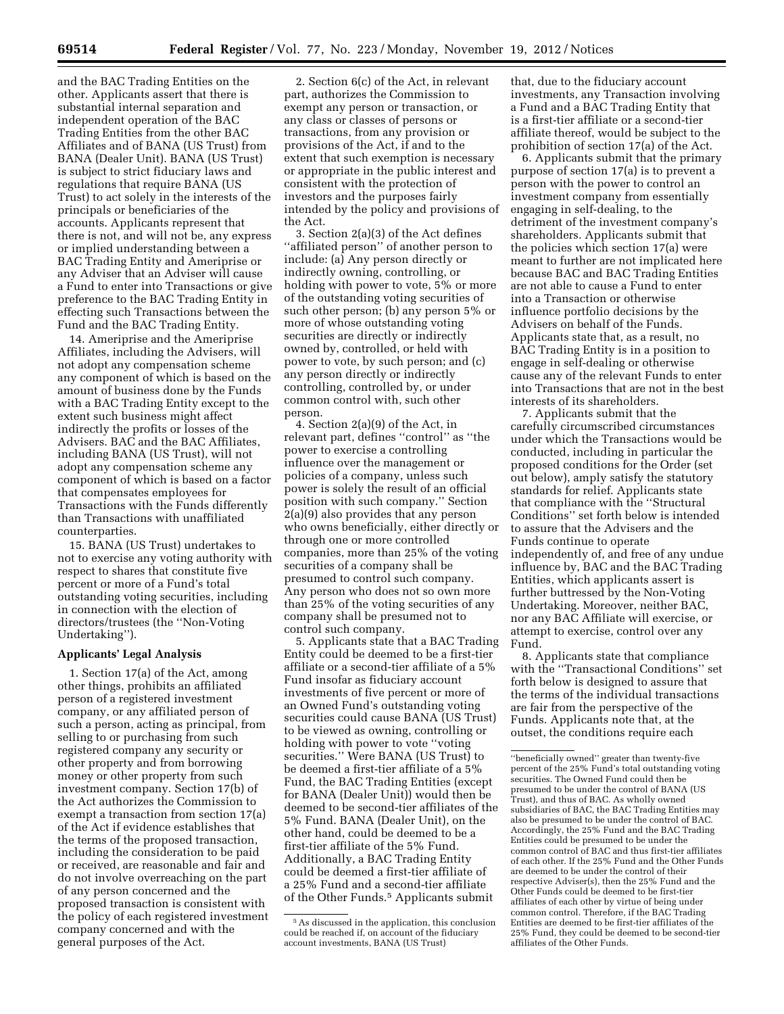and the BAC Trading Entities on the other. Applicants assert that there is substantial internal separation and independent operation of the BAC Trading Entities from the other BAC Affiliates and of BANA (US Trust) from BANA (Dealer Unit). BANA (US Trust) is subject to strict fiduciary laws and regulations that require BANA (US Trust) to act solely in the interests of the principals or beneficiaries of the accounts. Applicants represent that there is not, and will not be, any express or implied understanding between a BAC Trading Entity and Ameriprise or any Adviser that an Adviser will cause a Fund to enter into Transactions or give preference to the BAC Trading Entity in effecting such Transactions between the Fund and the BAC Trading Entity.

14. Ameriprise and the Ameriprise Affiliates, including the Advisers, will not adopt any compensation scheme any component of which is based on the amount of business done by the Funds with a BAC Trading Entity except to the extent such business might affect indirectly the profits or losses of the Advisers. BAC and the BAC Affiliates, including BANA (US Trust), will not adopt any compensation scheme any component of which is based on a factor that compensates employees for Transactions with the Funds differently than Transactions with unaffiliated counterparties.

15. BANA (US Trust) undertakes to not to exercise any voting authority with respect to shares that constitute five percent or more of a Fund's total outstanding voting securities, including in connection with the election of directors/trustees (the ''Non-Voting Undertaking'').

## **Applicants' Legal Analysis**

1. Section 17(a) of the Act, among other things, prohibits an affiliated person of a registered investment company, or any affiliated person of such a person, acting as principal, from selling to or purchasing from such registered company any security or other property and from borrowing money or other property from such investment company. Section 17(b) of the Act authorizes the Commission to exempt a transaction from section 17(a) of the Act if evidence establishes that the terms of the proposed transaction, including the consideration to be paid or received, are reasonable and fair and do not involve overreaching on the part of any person concerned and the proposed transaction is consistent with the policy of each registered investment company concerned and with the general purposes of the Act.

2. Section 6(c) of the Act, in relevant part, authorizes the Commission to exempt any person or transaction, or any class or classes of persons or transactions, from any provision or provisions of the Act, if and to the extent that such exemption is necessary or appropriate in the public interest and consistent with the protection of investors and the purposes fairly intended by the policy and provisions of the Act.

3. Section 2(a)(3) of the Act defines ''affiliated person'' of another person to include: (a) Any person directly or indirectly owning, controlling, or holding with power to vote, 5% or more of the outstanding voting securities of such other person; (b) any person 5% or more of whose outstanding voting securities are directly or indirectly owned by, controlled, or held with power to vote, by such person; and (c) any person directly or indirectly controlling, controlled by, or under common control with, such other person.

4. Section 2(a)(9) of the Act, in relevant part, defines ''control'' as ''the power to exercise a controlling influence over the management or policies of a company, unless such power is solely the result of an official position with such company.'' Section 2(a)(9) also provides that any person who owns beneficially, either directly or through one or more controlled companies, more than 25% of the voting securities of a company shall be presumed to control such company. Any person who does not so own more than 25% of the voting securities of any company shall be presumed not to control such company.

5. Applicants state that a BAC Trading Entity could be deemed to be a first-tier affiliate or a second-tier affiliate of a 5% Fund insofar as fiduciary account investments of five percent or more of an Owned Fund's outstanding voting securities could cause BANA (US Trust) to be viewed as owning, controlling or holding with power to vote ''voting securities.'' Were BANA (US Trust) to be deemed a first-tier affiliate of a 5% Fund, the BAC Trading Entities (except for BANA (Dealer Unit)) would then be deemed to be second-tier affiliates of the 5% Fund. BANA (Dealer Unit), on the other hand, could be deemed to be a first-tier affiliate of the 5% Fund. Additionally, a BAC Trading Entity could be deemed a first-tier affiliate of a 25% Fund and a second-tier affiliate of the Other Funds.5 Applicants submit

that, due to the fiduciary account investments, any Transaction involving a Fund and a BAC Trading Entity that is a first-tier affiliate or a second-tier affiliate thereof, would be subject to the prohibition of section 17(a) of the Act.

6. Applicants submit that the primary purpose of section 17(a) is to prevent a person with the power to control an investment company from essentially engaging in self-dealing, to the detriment of the investment company's shareholders. Applicants submit that the policies which section 17(a) were meant to further are not implicated here because BAC and BAC Trading Entities are not able to cause a Fund to enter into a Transaction or otherwise influence portfolio decisions by the Advisers on behalf of the Funds. Applicants state that, as a result, no BAC Trading Entity is in a position to engage in self-dealing or otherwise cause any of the relevant Funds to enter into Transactions that are not in the best interests of its shareholders.

7. Applicants submit that the carefully circumscribed circumstances under which the Transactions would be conducted, including in particular the proposed conditions for the Order (set out below), amply satisfy the statutory standards for relief. Applicants state that compliance with the ''Structural Conditions'' set forth below is intended to assure that the Advisers and the Funds continue to operate independently of, and free of any undue influence by, BAC and the BAC Trading Entities, which applicants assert is further buttressed by the Non-Voting Undertaking. Moreover, neither BAC, nor any BAC Affiliate will exercise, or attempt to exercise, control over any Fund.

8. Applicants state that compliance with the ''Transactional Conditions'' set forth below is designed to assure that the terms of the individual transactions are fair from the perspective of the Funds. Applicants note that, at the outset, the conditions require each

<sup>5</sup>As discussed in the application, this conclusion could be reached if, on account of the fiduciary account investments, BANA (US Trust)

<sup>&#</sup>x27;'beneficially owned'' greater than twenty-five percent of the 25% Fund's total outstanding voting securities. The Owned Fund could then be presumed to be under the control of BANA (US Trust), and thus of BAC. As wholly owned subsidiaries of BAC, the BAC Trading Entities may also be presumed to be under the control of BAC. Accordingly, the 25% Fund and the BAC Trading Entities could be presumed to be under the common control of BAC and thus first-tier affiliates of each other. If the 25% Fund and the Other Funds are deemed to be under the control of their respective Adviser(s), then the 25% Fund and the Other Funds could be deemed to be first-tier affiliates of each other by virtue of being under common control. Therefore, if the BAC Trading Entities are deemed to be first-tier affiliates of the 25% Fund, they could be deemed to be second-tier affiliates of the Other Funds.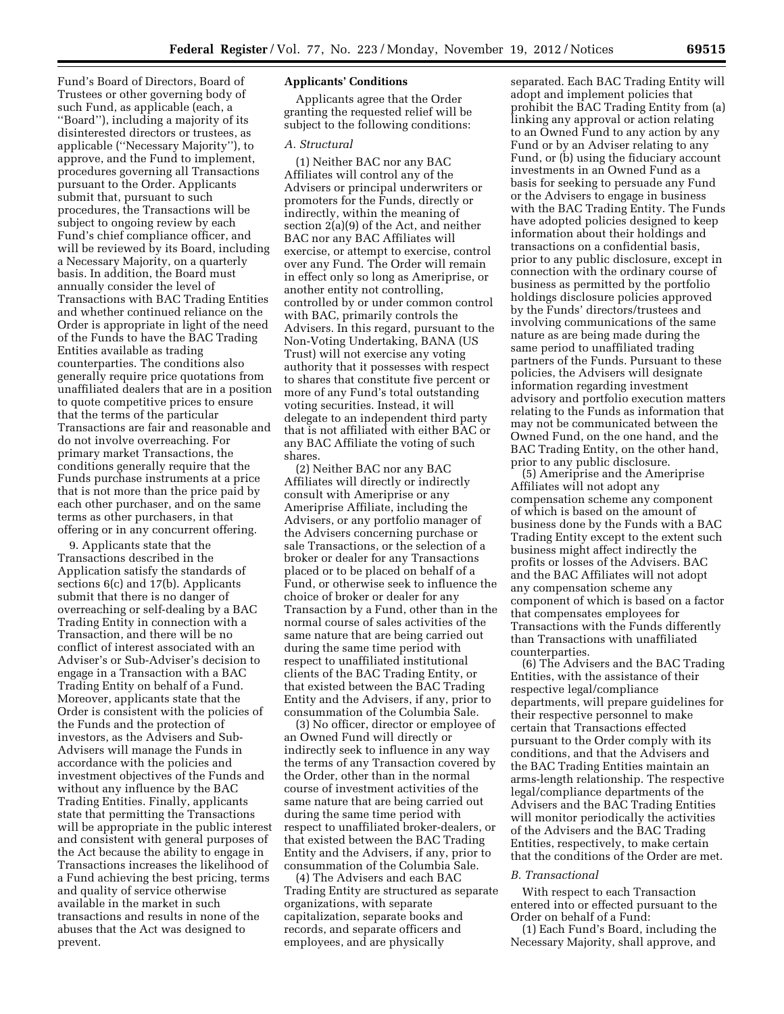Fund's Board of Directors, Board of Trustees or other governing body of such Fund, as applicable (each, a ''Board''), including a majority of its disinterested directors or trustees, as applicable (''Necessary Majority''), to approve, and the Fund to implement, procedures governing all Transactions pursuant to the Order. Applicants submit that, pursuant to such procedures, the Transactions will be subject to ongoing review by each Fund's chief compliance officer, and will be reviewed by its Board, including a Necessary Majority, on a quarterly basis. In addition, the Board must annually consider the level of Transactions with BAC Trading Entities and whether continued reliance on the Order is appropriate in light of the need of the Funds to have the BAC Trading Entities available as trading counterparties. The conditions also generally require price quotations from unaffiliated dealers that are in a position to quote competitive prices to ensure that the terms of the particular Transactions are fair and reasonable and do not involve overreaching. For primary market Transactions, the conditions generally require that the Funds purchase instruments at a price that is not more than the price paid by each other purchaser, and on the same terms as other purchasers, in that offering or in any concurrent offering.

9. Applicants state that the Transactions described in the Application satisfy the standards of sections 6(c) and 17(b). Applicants submit that there is no danger of overreaching or self-dealing by a BAC Trading Entity in connection with a Transaction, and there will be no conflict of interest associated with an Adviser's or Sub-Adviser's decision to engage in a Transaction with a BAC Trading Entity on behalf of a Fund. Moreover, applicants state that the Order is consistent with the policies of the Funds and the protection of investors, as the Advisers and Sub-Advisers will manage the Funds in accordance with the policies and investment objectives of the Funds and without any influence by the BAC Trading Entities. Finally, applicants state that permitting the Transactions will be appropriate in the public interest and consistent with general purposes of the Act because the ability to engage in Transactions increases the likelihood of a Fund achieving the best pricing, terms and quality of service otherwise available in the market in such transactions and results in none of the abuses that the Act was designed to prevent.

# **Applicants' Conditions**

Applicants agree that the Order granting the requested relief will be subject to the following conditions:

#### *A. Structural*

(1) Neither BAC nor any BAC Affiliates will control any of the Advisers or principal underwriters or promoters for the Funds, directly or indirectly, within the meaning of section 2(a)(9) of the Act, and neither BAC nor any BAC Affiliates will exercise, or attempt to exercise, control over any Fund. The Order will remain in effect only so long as Ameriprise, or another entity not controlling, controlled by or under common control with BAC, primarily controls the Advisers. In this regard, pursuant to the Non-Voting Undertaking, BANA (US Trust) will not exercise any voting authority that it possesses with respect to shares that constitute five percent or more of any Fund's total outstanding voting securities. Instead, it will delegate to an independent third party that is not affiliated with either BAC or any BAC Affiliate the voting of such shares.

(2) Neither BAC nor any BAC Affiliates will directly or indirectly consult with Ameriprise or any Ameriprise Affiliate, including the Advisers, or any portfolio manager of the Advisers concerning purchase or sale Transactions, or the selection of a broker or dealer for any Transactions placed or to be placed on behalf of a Fund, or otherwise seek to influence the choice of broker or dealer for any Transaction by a Fund, other than in the normal course of sales activities of the same nature that are being carried out during the same time period with respect to unaffiliated institutional clients of the BAC Trading Entity, or that existed between the BAC Trading Entity and the Advisers, if any, prior to consummation of the Columbia Sale.

(3) No officer, director or employee of an Owned Fund will directly or indirectly seek to influence in any way the terms of any Transaction covered by the Order, other than in the normal course of investment activities of the same nature that are being carried out during the same time period with respect to unaffiliated broker-dealers, or that existed between the BAC Trading Entity and the Advisers, if any, prior to consummation of the Columbia Sale.

(4) The Advisers and each BAC Trading Entity are structured as separate organizations, with separate capitalization, separate books and records, and separate officers and employees, and are physically

separated. Each BAC Trading Entity will adopt and implement policies that prohibit the BAC Trading Entity from (a) linking any approval or action relating to an Owned Fund to any action by any Fund or by an Adviser relating to any Fund, or (b) using the fiduciary account investments in an Owned Fund as a basis for seeking to persuade any Fund or the Advisers to engage in business with the BAC Trading Entity. The Funds have adopted policies designed to keep information about their holdings and transactions on a confidential basis, prior to any public disclosure, except in connection with the ordinary course of business as permitted by the portfolio holdings disclosure policies approved by the Funds' directors/trustees and involving communications of the same nature as are being made during the same period to unaffiliated trading partners of the Funds. Pursuant to these policies, the Advisers will designate information regarding investment advisory and portfolio execution matters relating to the Funds as information that may not be communicated between the Owned Fund, on the one hand, and the BAC Trading Entity, on the other hand, prior to any public disclosure.

(5) Ameriprise and the Ameriprise Affiliates will not adopt any compensation scheme any component of which is based on the amount of business done by the Funds with a BAC Trading Entity except to the extent such business might affect indirectly the profits or losses of the Advisers. BAC and the BAC Affiliates will not adopt any compensation scheme any component of which is based on a factor that compensates employees for Transactions with the Funds differently than Transactions with unaffiliated counterparties.

(6) The Advisers and the BAC Trading Entities, with the assistance of their respective legal/compliance departments, will prepare guidelines for their respective personnel to make certain that Transactions effected pursuant to the Order comply with its conditions, and that the Advisers and the BAC Trading Entities maintain an arms-length relationship. The respective legal/compliance departments of the Advisers and the BAC Trading Entities will monitor periodically the activities of the Advisers and the BAC Trading Entities, respectively, to make certain that the conditions of the Order are met.

# *B. Transactional*

With respect to each Transaction entered into or effected pursuant to the Order on behalf of a Fund:

(1) Each Fund's Board, including the Necessary Majority, shall approve, and